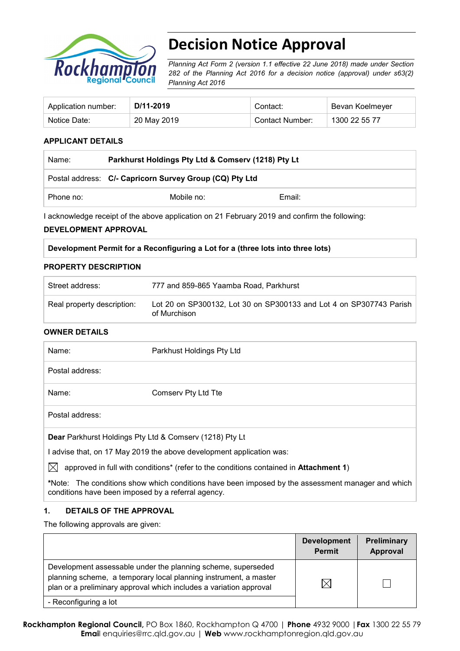

# **Decision Notice Approval**

*Planning Act Form 2 (version 1.1 effective 22 June 2018) made under Section 282 of the Planning Act 2016 for a decision notice (approval) under s63(2) Planning Act 2016*

| Application number: | D/11-2019   | Contact:        | Bevan Koelmeyer |
|---------------------|-------------|-----------------|-----------------|
| Notice Date:        | 20 May 2019 | Contact Number: | 1300 22 55 77   |

#### **APPLICANT DETAILS**

| Name:     | Parkhurst Holdings Pty Ltd & Comserv (1218) Pty Lt      |        |  |
|-----------|---------------------------------------------------------|--------|--|
|           | Postal address: C/- Capricorn Survey Group (CQ) Pty Ltd |        |  |
| Phone no: | Mobile no:                                              | Email: |  |

I acknowledge receipt of the above application on 21 February 2019 and confirm the following:

#### **DEVELOPMENT APPROVAL**

| Development Permit for a Reconfiguring a Lot for a (three lots into three lots) |  |  |  |
|---------------------------------------------------------------------------------|--|--|--|
|---------------------------------------------------------------------------------|--|--|--|

#### **PROPERTY DESCRIPTION**

| Street address:            | 777 and 859-865 Yaamba Road, Parkhurst                                              |
|----------------------------|-------------------------------------------------------------------------------------|
| Real property description: | Lot 20 on SP300132, Lot 30 on SP300133 and Lot 4 on SP307743 Parish<br>of Murchison |

#### **OWNER DETAILS**

| Name:                                                                | Parkhust Holdings Pty Ltd |  |  |
|----------------------------------------------------------------------|---------------------------|--|--|
| Postal address:                                                      |                           |  |  |
| Name:                                                                | Comserv Pty Ltd Tte       |  |  |
| Postal address:                                                      |                           |  |  |
| Dear Parkhurst Holdings Pty Ltd & Comserv (1218) Pty Lt              |                           |  |  |
| I advise that, on 17 May 2019 the above development application was: |                           |  |  |

 $\boxtimes$  approved in full with conditions<sup>\*</sup> (refer to the conditions contained in **Attachment 1**)

**\***Note:The conditions show which conditions have been imposed by the assessment manager and which conditions have been imposed by a referral agency.

#### **1. DETAILS OF THE APPROVAL**

The following approvals are given:

|                                                                                                                                                                                                        | <b>Development</b><br><b>Permit</b> | Preliminary<br>Approval |
|--------------------------------------------------------------------------------------------------------------------------------------------------------------------------------------------------------|-------------------------------------|-------------------------|
| Development assessable under the planning scheme, superseded<br>planning scheme, a temporary local planning instrument, a master<br>plan or a preliminary approval which includes a variation approval | $\boxtimes$                         |                         |
| - Reconfiguring a lot                                                                                                                                                                                  |                                     |                         |

**Rockhampton Regional Council,** PO Box 1860, Rockhampton Q 4700 | **Phone** 4932 9000 |**Fax** 1300 22 55 79 **Emai**l enquiries@rrc.qld.gov.au | **Web** www.rockhamptonregion.qld.gov.au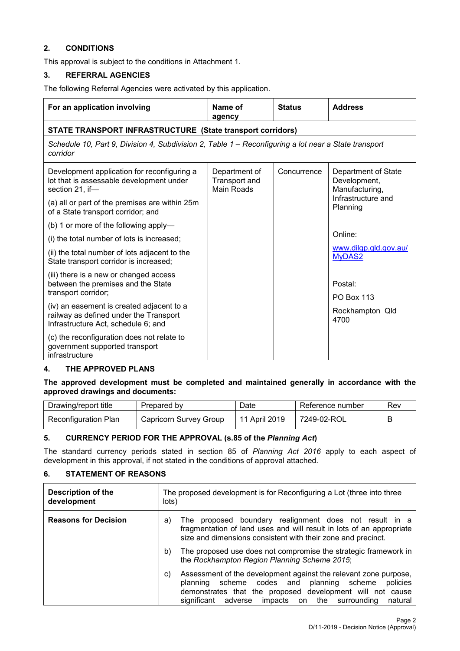### **2. CONDITIONS**

This approval is subject to the conditions in Attachment 1.

#### **3. REFERRAL AGENCIES**

The following Referral Agencies were activated by this application.

| For an application involving                                                                                               | Name of<br>agency                                   | <b>Status</b> | <b>Address</b>                                        |  |  |  |
|----------------------------------------------------------------------------------------------------------------------------|-----------------------------------------------------|---------------|-------------------------------------------------------|--|--|--|
| <b>STATE TRANSPORT INFRASTRUCTURE (State transport corridors)</b>                                                          |                                                     |               |                                                       |  |  |  |
| Schedule 10, Part 9, Division 4, Subdivision 2, Table 1 – Reconfiguring a lot near a State transport<br>corridor           |                                                     |               |                                                       |  |  |  |
| Development application for reconfiguring a<br>lot that is assessable development under<br>section 21, if-                 | Department of<br>Transport and<br><b>Main Roads</b> | Concurrence   | Department of State<br>Development,<br>Manufacturing, |  |  |  |
| (a) all or part of the premises are within 25m<br>of a State transport corridor; and                                       |                                                     |               | Infrastructure and<br>Planning                        |  |  |  |
| (b) 1 or more of the following apply-                                                                                      |                                                     |               |                                                       |  |  |  |
| (i) the total number of lots is increased;                                                                                 |                                                     |               | Online:                                               |  |  |  |
| (ii) the total number of lots adjacent to the<br>State transport corridor is increased;                                    |                                                     |               | www.dilgp.gld.gov.au/<br>MyDAS2                       |  |  |  |
| (iii) there is a new or changed access<br>between the premises and the State<br>transport corridor;                        |                                                     |               | Postal:<br><b>PO Box 113</b>                          |  |  |  |
| (iv) an easement is created adjacent to a<br>railway as defined under the Transport<br>Infrastructure Act, schedule 6; and |                                                     |               | Rockhampton Qld<br>4700                               |  |  |  |
| (c) the reconfiguration does not relate to<br>government supported transport<br>infrastructure                             |                                                     |               |                                                       |  |  |  |

#### **4. THE APPROVED PLANS**

**The approved development must be completed and maintained generally in accordance with the approved drawings and documents:**

| Drawing/report title        | Prepared by            | Date          | Reference number | Rev |
|-----------------------------|------------------------|---------------|------------------|-----|
| <b>Reconfiguration Plan</b> | Capricorn Survey Group | 11 April 2019 | 7249-02-ROL      |     |

#### **5. CURRENCY PERIOD FOR THE APPROVAL (s.85 of the** *Planning Act***)**

The standard currency periods stated in section 85 of *Planning Act 2016* apply to each aspect of development in this approval, if not stated in the conditions of approval attached.

#### **6. STATEMENT OF REASONS**

| <b>Description of the</b><br>development | The proposed development is for Reconfiguring a Lot (three into three<br>lots)                                                                                                                                                                                           |  |  |
|------------------------------------------|--------------------------------------------------------------------------------------------------------------------------------------------------------------------------------------------------------------------------------------------------------------------------|--|--|
| <b>Reasons for Decision</b>              | The proposed boundary realignment does not result in a<br>a)<br>fragmentation of land uses and will result in lots of an appropriate<br>size and dimensions consistent with their zone and precinct.                                                                     |  |  |
|                                          | The proposed use does not compromise the strategic framework in<br>b)<br>the Rockhampton Region Planning Scheme 2015;                                                                                                                                                    |  |  |
|                                          | Assessment of the development against the relevant zone purpose,<br>C)<br>scheme codes and<br>policies<br>planning scheme<br>planning<br>demonstrates that the proposed development will not cause<br>significant<br>adverse<br>impacts on<br>the surrounding<br>natural |  |  |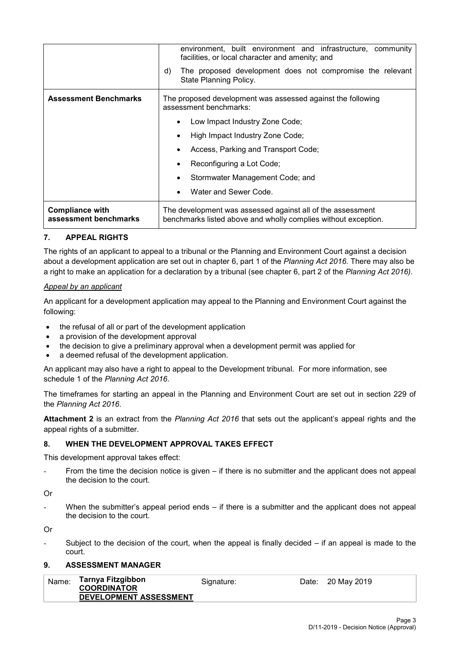|                                                 | environment, built environment and infrastructure, community<br>facilities, or local character and amenity; and              |  |  |  |
|-------------------------------------------------|------------------------------------------------------------------------------------------------------------------------------|--|--|--|
|                                                 | The proposed development does not compromise the relevant<br>d)<br>State Planning Policy.                                    |  |  |  |
| <b>Assessment Benchmarks</b>                    | The proposed development was assessed against the following<br>assessment benchmarks:                                        |  |  |  |
|                                                 | Low Impact Industry Zone Code;                                                                                               |  |  |  |
|                                                 | High Impact Industry Zone Code;                                                                                              |  |  |  |
|                                                 | Access, Parking and Transport Code;                                                                                          |  |  |  |
|                                                 | Reconfiguring a Lot Code;                                                                                                    |  |  |  |
|                                                 | Stormwater Management Code; and                                                                                              |  |  |  |
|                                                 | Water and Sewer Code.                                                                                                        |  |  |  |
| <b>Compliance with</b><br>assessment benchmarks | The development was assessed against all of the assessment<br>benchmarks listed above and wholly complies without exception. |  |  |  |

### **7. APPEAL RIGHTS**

The rights of an applicant to appeal to a tribunal or the Planning and Environment Court against a decision about a development application are set out in chapter 6, part 1 of the *Planning Act 2016*. There may also be a right to make an application for a declaration by a tribunal (see chapter 6, part 2 of the *Planning Act 2016).*

#### *Appeal by an applicant*

An applicant for a development application may appeal to the Planning and Environment Court against the following:

- the refusal of all or part of the development application
- a provision of the development approval
- the decision to give a preliminary approval when a development permit was applied for
- a deemed refusal of the development application.

An applicant may also have a right to appeal to the Development tribunal. For more information, see schedule 1 of the *Planning Act 2016*.

The timeframes for starting an appeal in the Planning and Environment Court are set out in section 229 of the *Planning Act 2016*.

**Attachment 2** is an extract from the *Planning Act 2016* that sets out the applicant's appeal rights and the appeal rights of a submitter.

#### **8. WHEN THE DEVELOPMENT APPROVAL TAKES EFFECT**

This development approval takes effect:

From the time the decision notice is given – if there is no submitter and the applicant does not appeal the decision to the court.

Or

When the submitter's appeal period ends  $-$  if there is a submitter and the applicant does not appeal the decision to the court.

Or

Subject to the decision of the court, when the appeal is finally decided  $-$  if an appeal is made to the court.

#### **9. ASSESSMENT MANAGER**

| Name: | Tarnya Fitzgibbon<br><b>COORDINATOR</b> | Signature: | Date: 20 May 2019 |
|-------|-----------------------------------------|------------|-------------------|
|       | <b>DEVELOPMENT ASSESSMENT</b>           |            |                   |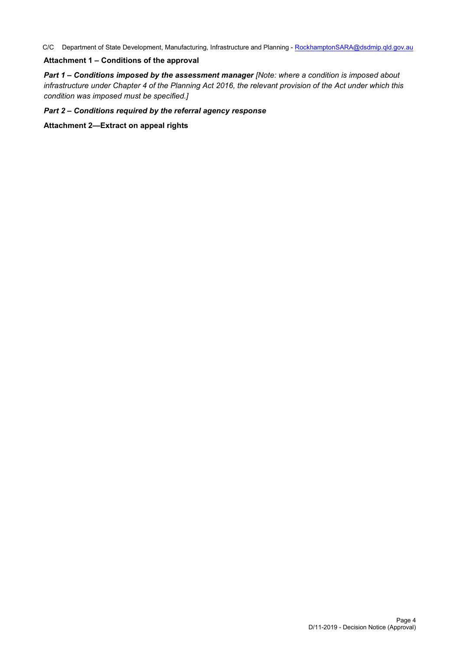C/C Department of State Development, Manufacturing, Infrastructure and Planning - [RockhamptonSARA@dsdmip.qld.gov.au](mailto:RockhamptonSARA@dsdmip.qld.gov.au)

#### **Attachment 1 – Conditions of the approval**

*Part 1* **–** *Conditions imposed by the assessment manager [Note: where a condition is imposed about infrastructure under Chapter 4 of the Planning Act 2016, the relevant provision of the Act under which this condition was imposed must be specified.]*

#### *Part 2 – Conditions required by the referral agency response*

**Attachment 2—Extract on appeal rights**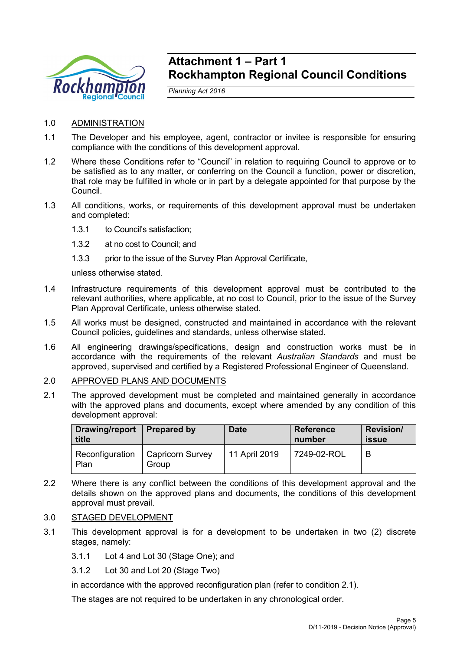

## **Attachment 1 – Part 1 Rockhampton Regional Council Conditions**

*Planning Act 2016*

- 1.0 ADMINISTRATION
- 1.1 The Developer and his employee, agent, contractor or invitee is responsible for ensuring compliance with the conditions of this development approval.
- 1.2 Where these Conditions refer to "Council" in relation to requiring Council to approve or to be satisfied as to any matter, or conferring on the Council a function, power or discretion, that role may be fulfilled in whole or in part by a delegate appointed for that purpose by the Council.
- 1.3 All conditions, works, or requirements of this development approval must be undertaken and completed:
	- 1.3.1 to Council's satisfaction;
	- 1.3.2 at no cost to Council; and
	- 1.3.3 prior to the issue of the Survey Plan Approval Certificate,

unless otherwise stated.

- 1.4 Infrastructure requirements of this development approval must be contributed to the relevant authorities, where applicable, at no cost to Council, prior to the issue of the Survey Plan Approval Certificate, unless otherwise stated.
- 1.5 All works must be designed, constructed and maintained in accordance with the relevant Council policies, guidelines and standards, unless otherwise stated.
- 1.6 All engineering drawings/specifications, design and construction works must be in accordance with the requirements of the relevant *Australian Standards* and must be approved, supervised and certified by a Registered Professional Engineer of Queensland.
- 2.0 APPROVED PLANS AND DOCUMENTS
- 2.1 The approved development must be completed and maintained generally in accordance with the approved plans and documents, except where amended by any condition of this development approval:

| Drawing/report<br>title | <b>Prepared by</b>               | <b>Date</b>   | <b>Reference</b><br>number | <b>Revision/</b><br><b>issue</b> |
|-------------------------|----------------------------------|---------------|----------------------------|----------------------------------|
| Reconfiguration<br>Plan | <b>Capricorn Survey</b><br>Group | 11 April 2019 | 7249-02-ROL                | B                                |

2.2 Where there is any conflict between the conditions of this development approval and the details shown on the approved plans and documents, the conditions of this development approval must prevail.

#### 3.0 STAGED DEVELOPMENT

- 3.1 This development approval is for a development to be undertaken in two (2) discrete stages, namely:
	- 3.1.1 Lot 4 and Lot 30 (Stage One); and
	- 3.1.2 Lot 30 and Lot 20 (Stage Two)

in accordance with the approved reconfiguration plan (refer to condition 2.1).

The stages are not required to be undertaken in any chronological order.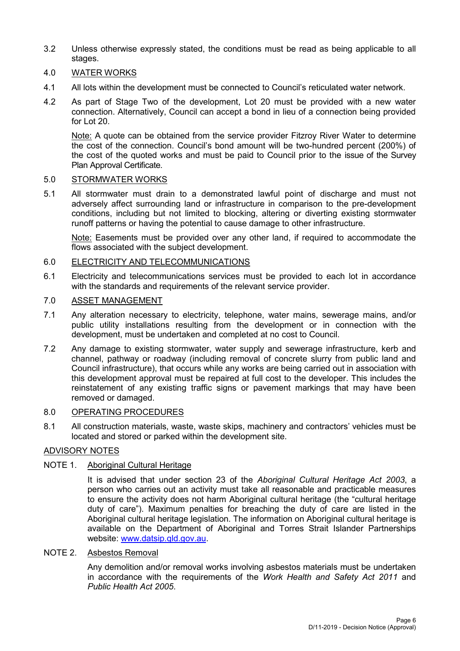- 3.2 Unless otherwise expressly stated, the conditions must be read as being applicable to all stages.
- 4.0 WATER WORKS
- 4.1 All lots within the development must be connected to Council's reticulated water network.
- 4.2 As part of Stage Two of the development, Lot 20 must be provided with a new water connection. Alternatively, Council can accept a bond in lieu of a connection being provided for Lot 20.

Note: A quote can be obtained from the service provider Fitzroy River Water to determine the cost of the connection. Council's bond amount will be two-hundred percent (200%) of the cost of the quoted works and must be paid to Council prior to the issue of the Survey Plan Approval Certificate.

#### 5.0 STORMWATER WORKS

5.1 All stormwater must drain to a demonstrated lawful point of discharge and must not adversely affect surrounding land or infrastructure in comparison to the pre-development conditions, including but not limited to blocking, altering or diverting existing stormwater runoff patterns or having the potential to cause damage to other infrastructure.

Note: Easements must be provided over any other land, if required to accommodate the flows associated with the subject development.

#### 6.0 ELECTRICITY AND TELECOMMUNICATIONS

6.1 Electricity and telecommunications services must be provided to each lot in accordance with the standards and requirements of the relevant service provider.

## 7.0 ASSET MANAGEMENT

- 7.1 Any alteration necessary to electricity, telephone, water mains, sewerage mains, and/or public utility installations resulting from the development or in connection with the development, must be undertaken and completed at no cost to Council.
- 7.2 Any damage to existing stormwater, water supply and sewerage infrastructure, kerb and channel, pathway or roadway (including removal of concrete slurry from public land and Council infrastructure), that occurs while any works are being carried out in association with this development approval must be repaired at full cost to the developer. This includes the reinstatement of any existing traffic signs or pavement markings that may have been removed or damaged.

#### 8.0 OPERATING PROCEDURES

8.1 All construction materials, waste, waste skips, machinery and contractors' vehicles must be located and stored or parked within the development site.

### ADVISORY NOTES

### NOTE 1. Aboriginal Cultural Heritage

It is advised that under section 23 of the *Aboriginal Cultural Heritage Act 2003*, a person who carries out an activity must take all reasonable and practicable measures to ensure the activity does not harm Aboriginal cultural heritage (the "cultural heritage duty of care"). Maximum penalties for breaching the duty of care are listed in the Aboriginal cultural heritage legislation. The information on Aboriginal cultural heritage is available on the Department of Aboriginal and Torres Strait Islander Partnerships website: [www.datsip.qld.gov.au.](http://www.datsip.qld.gov.au/)

#### NOTE 2. Asbestos Removal

Any demolition and/or removal works involving asbestos materials must be undertaken in accordance with the requirements of the *Work Health and Safety Act 2011* and *Public Health Act 2005*.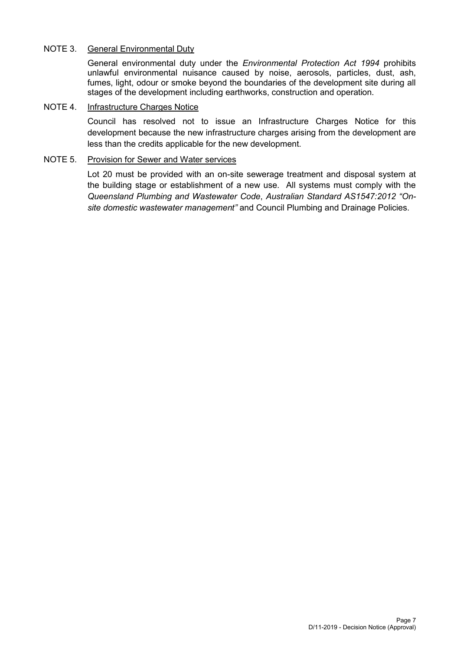## NOTE 3. General Environmental Duty

General environmental duty under the *Environmental Protection Act 1994* prohibits unlawful environmental nuisance caused by noise, aerosols, particles, dust, ash, fumes, light, odour or smoke beyond the boundaries of the development site during all stages of the development including earthworks, construction and operation.

## NOTE 4. Infrastructure Charges Notice

Council has resolved not to issue an Infrastructure Charges Notice for this development because the new infrastructure charges arising from the development are less than the credits applicable for the new development.

#### NOTE 5. Provision for Sewer and Water services

Lot 20 must be provided with an on-site sewerage treatment and disposal system at the building stage or establishment of a new use. All systems must comply with the *Queensland Plumbing and Wastewater Code*, *Australian Standard AS1547:2012 "Onsite domestic wastewater management"* and Council Plumbing and Drainage Policies.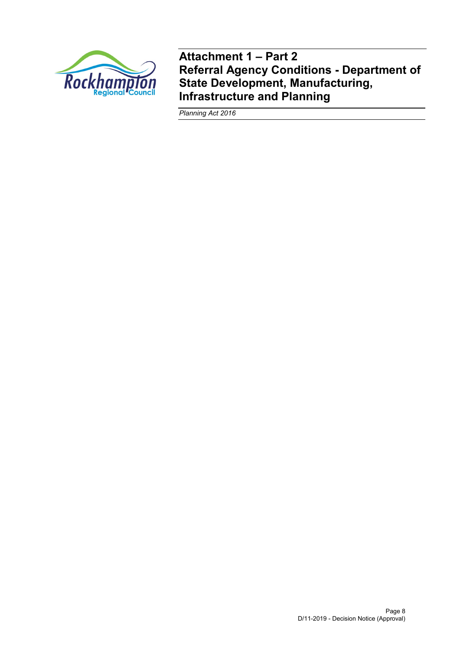

**Attachment 1 – Part 2 Referral Agency Conditions - Department of State Development, Manufacturing, Infrastructure and Planning**

*Planning Act 2016*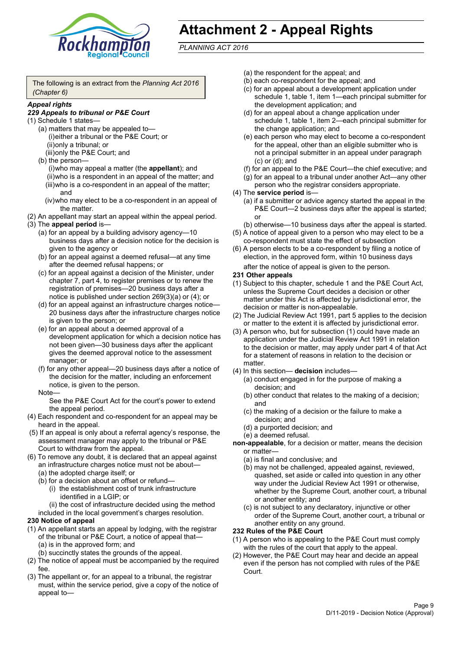

# **Attachment 2 - Appeal Rights**

*PLANNING ACT 2016*

The following is an extract from the *Planning Act 2016 (Chapter 6)*

#### *Appeal rights*

#### *229 Appeals to tribunal or P&E Court*

- (1) Schedule 1 states—
	- (a) matters that may be appealed to— (i)either a tribunal or the P&E Court; or (ii)only a tribunal; or (iii)only the P&E Court; and
	- (b) the person—

(i)who may appeal a matter (the **appellant**); and (ii)who is a respondent in an appeal of the matter; and (iii)who is a co-respondent in an appeal of the matter; and

- (iv)who may elect to be a co-respondent in an appeal of the matter.
- (2) An appellant may start an appeal within the appeal period.
- (3) The **appeal period** is—
	- (a) for an appeal by a building advisory agency—10 business days after a decision notice for the decision is given to the agency or
	- (b) for an appeal against a deemed refusal—at any time after the deemed refusal happens; or
	- (c) for an appeal against a decision of the Minister, under chapter 7, part 4, to register premises or to renew the registration of premises—20 business days after a notice is published under section 269(3)(a) or (4); or
	- (d) for an appeal against an infrastructure charges notice— 20 business days after the infrastructure charges notice is given to the person; or
	- (e) for an appeal about a deemed approval of a development application for which a decision notice has not been given—30 business days after the applicant gives the deemed approval notice to the assessment manager; or
	- (f) for any other appeal—20 business days after a notice of the decision for the matter, including an enforcement notice, is given to the person.

#### Note—

See the P&E Court Act for the court's power to extend the appeal period.

- (4) Each respondent and co-respondent for an appeal may be heard in the appeal.
- (5) If an appeal is only about a referral agency's response, the assessment manager may apply to the tribunal or P&E Court to withdraw from the appeal.
- (6) To remove any doubt, it is declared that an appeal against an infrastructure charges notice must not be about—
	- (a) the adopted charge itself; or
	- (b) for a decision about an offset or refund—
		- (i) the establishment cost of trunk infrastructure identified in a LGIP; or

(ii) the cost of infrastructure decided using the method

included in the local government's charges resolution.

- **230 Notice of appeal**
- (1) An appellant starts an appeal by lodging, with the registrar of the tribunal or P&E Court, a notice of appeal that—
	- (a) is in the approved form; and
	- (b) succinctly states the grounds of the appeal.
- (2) The notice of appeal must be accompanied by the required fee.
- (3) The appellant or, for an appeal to a tribunal, the registrar must, within the service period, give a copy of the notice of appeal to—
- (a) the respondent for the appeal; and
- (b) each co-respondent for the appeal; and
- (c) for an appeal about a development application under schedule 1, table 1, item 1—each principal submitter for the development application; and
- (d) for an appeal about a change application under schedule 1, table 1, item 2—each principal submitter for the change application; and
- (e) each person who may elect to become a co-respondent for the appeal, other than an eligible submitter who is not a principal submitter in an appeal under paragraph (c) or (d); and
- (f) for an appeal to the P&E Court—the chief executive; and
- (g) for an appeal to a tribunal under another Act—any other person who the registrar considers appropriate.
- (4) The **service period** is—
	- (a) if a submitter or advice agency started the appeal in the P&E Court—2 business days after the appeal is started; or
	- (b) otherwise—10 business days after the appeal is started.
- (5) A notice of appeal given to a person who may elect to be a co-respondent must state the effect of subsection
- (6) A person elects to be a co-respondent by filing a notice of election, in the approved form, within 10 business days after the notice of appeal is given to the person*.*
- **231 Other appeals**
- (1) Subject to this chapter, schedule 1 and the P&E Court Act, unless the Supreme Court decides a decision or other matter under this Act is affected by jurisdictional error, the decision or matter is non-appealable.
- (2) The Judicial Review Act 1991, part 5 applies to the decision or matter to the extent it is affected by jurisdictional error.
- (3) A person who, but for subsection (1) could have made an application under the Judicial Review Act 1991 in relation to the decision or matter, may apply under part 4 of that Act for a statement of reasons in relation to the decision or matter.
- (4) In this section— **decision** includes—
	- (a) conduct engaged in for the purpose of making a decision; and
	- (b) other conduct that relates to the making of a decision; and
	- (c) the making of a decision or the failure to make a decision; and
	- (d) a purported decision; and
	- (e) a deemed refusal.

**non-appealable**, for a decision or matter, means the decision or matter—

- (a) is final and conclusive; and
- (b) may not be challenged, appealed against, reviewed, quashed, set aside or called into question in any other way under the Judicial Review Act 1991 or otherwise, whether by the Supreme Court, another court, a tribunal or another entity; and
- (c) is not subject to any declaratory, injunctive or other order of the Supreme Court, another court, a tribunal or another entity on any ground.

#### **232 Rules of the P&E Court**

- (1) A person who is appealing to the P&E Court must comply with the rules of the court that apply to the appeal.
- (2) However, the P&E Court may hear and decide an appeal even if the person has not complied with rules of the P&E Court.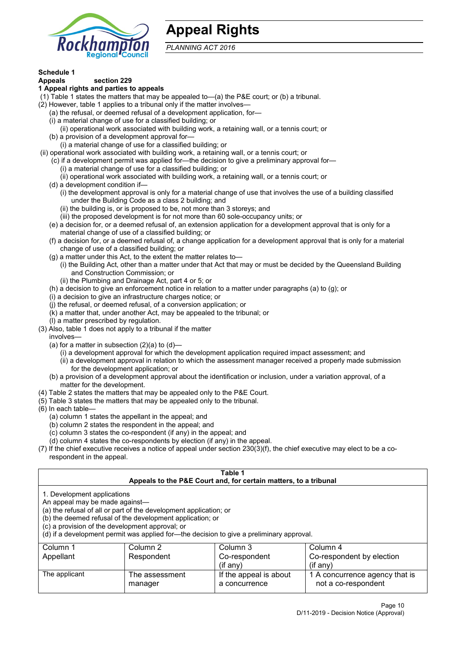

## **Appeal Rights**

*PLANNING ACT 2016*

## **Schedule 1**

#### **Appeals section 229 1 Appeal rights and parties to appeals**

- (1) Table 1 states the matters that may be appealed to—(a) the P&E court; or (b) a tribunal.
- (2) However, table 1 applies to a tribunal only if the matter involves—
	- (a) the refusal, or deemed refusal of a development application, for—
	- (i) a material change of use for a classified building; or
	- (ii) operational work associated with building work, a retaining wall, or a tennis court; or
	- (b) a provision of a development approval for—
	- (i) a material change of use for a classified building; or
- (ii) operational work associated with building work, a retaining wall, or a tennis court; or
	- (c) if a development permit was applied for—the decision to give a preliminary approval for—
		- (i) a material change of use for a classified building; or
		- (ii) operational work associated with building work, a retaining wall, or a tennis court; or
	- (d) a development condition if—
		- (i) the development approval is only for a material change of use that involves the use of a building classified under the Building Code as a class 2 building; and
		- (ii) the building is, or is proposed to be, not more than 3 storeys; and
		- (iii) the proposed development is for not more than 60 sole-occupancy units; or
	- (e) a decision for, or a deemed refusal of, an extension application for a development approval that is only for a material change of use of a classified building; or
	- (f) a decision for, or a deemed refusal of, a change application for a development approval that is only for a material change of use of a classified building; or
	- (g) a matter under this Act, to the extent the matter relates to—
		- (i) the Building Act, other than a matter under that Act that may or must be decided by the Queensland Building and Construction Commission; or
		- (ii) the Plumbing and Drainage Act, part 4 or 5; or
	- (h) a decision to give an enforcement notice in relation to a matter under paragraphs (a) to (g); or
	- (i) a decision to give an infrastructure charges notice; or
	- (j) the refusal, or deemed refusal, of a conversion application; or
	- (k) a matter that, under another Act, may be appealed to the tribunal; or
	- (l) a matter prescribed by regulation.
- (3) Also, table 1 does not apply to a tribunal if the matter
	- involves—
	- (a) for a matter in subsection  $(2)(a)$  to  $(d)$ 
		- (i) a development approval for which the development application required impact assessment; and
		- (ii) a development approval in relation to which the assessment manager received a properly made submission for the development application; or
	- (b) a provision of a development approval about the identification or inclusion, under a variation approval, of a matter for the development.
- (4) Table 2 states the matters that may be appealed only to the P&E Court.
- (5) Table 3 states the matters that may be appealed only to the tribunal.
- (6) In each table—
	- (a) column 1 states the appellant in the appeal; and
	- (b) column 2 states the respondent in the appeal; and
	- (c) column 3 states the co-respondent (if any) in the appeal; and
	- (d) column 4 states the co-respondents by election (if any) in the appeal.
- (7) If the chief executive receives a notice of appeal under section 230(3)(f), the chief executive may elect to be a corespondent in the appeal.

| Table 1                                                                                                                                                                                                                                                                                                                                                                                                            |                           |                                         |                                                       |  |
|--------------------------------------------------------------------------------------------------------------------------------------------------------------------------------------------------------------------------------------------------------------------------------------------------------------------------------------------------------------------------------------------------------------------|---------------------------|-----------------------------------------|-------------------------------------------------------|--|
| Appeals to the P&E Court and, for certain matters, to a tribunal<br>1. Development applications<br>An appeal may be made against-<br>(a) the refusal of all or part of the development application; or<br>(b) the deemed refusal of the development application; or<br>(c) a provision of the development approval; or<br>(d) if a development permit was applied for-the decision to give a preliminary approval. |                           |                                         |                                                       |  |
| Column 2<br>Column 3<br>Column 4<br>Column 1<br>Co-respondent by election<br>Appellant<br>Respondent<br>Co-respondent<br>(if any)<br>$($ if any $)$                                                                                                                                                                                                                                                                |                           |                                         |                                                       |  |
| The applicant                                                                                                                                                                                                                                                                                                                                                                                                      | The assessment<br>manager | If the appeal is about<br>a concurrence | 1 A concurrence agency that is<br>not a co-respondent |  |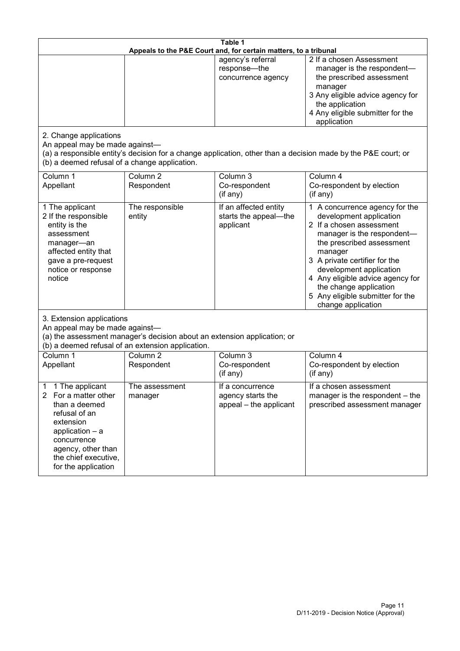| Table 1<br>Appeals to the P&E Court and, for certain matters, to a tribunal                                                                                                                                          |                                   |                                                                 |                                                                                                                                                                                                                                                                                                                                                 |  |
|----------------------------------------------------------------------------------------------------------------------------------------------------------------------------------------------------------------------|-----------------------------------|-----------------------------------------------------------------|-------------------------------------------------------------------------------------------------------------------------------------------------------------------------------------------------------------------------------------------------------------------------------------------------------------------------------------------------|--|
|                                                                                                                                                                                                                      |                                   | agency's referral<br>response-the<br>concurrence agency         | 2 If a chosen Assessment<br>manager is the respondent-<br>the prescribed assessment<br>manager<br>3 Any eligible advice agency for<br>the application<br>4 Any eligible submitter for the<br>application                                                                                                                                        |  |
| 2. Change applications<br>An appeal may be made against-<br>(b) a deemed refusal of a change application.                                                                                                            |                                   |                                                                 | (a) a responsible entity's decision for a change application, other than a decision made by the P&E court; or                                                                                                                                                                                                                                   |  |
| Column 1<br>Appellant                                                                                                                                                                                                | Column <sub>2</sub><br>Respondent | Column 3<br>Co-respondent<br>(if any)                           | Column 4<br>Co-respondent by election<br>(if any)                                                                                                                                                                                                                                                                                               |  |
| 1 The applicant<br>2 If the responsible<br>entity is the<br>assessment<br>manager-an<br>affected entity that<br>gave a pre-request<br>notice or response<br>notice                                                   | The responsible<br>entity         | If an affected entity<br>starts the appeal-the<br>applicant     | 1 A concurrence agency for the<br>development application<br>2 If a chosen assessment<br>manager is the respondent-<br>the prescribed assessment<br>manager<br>3 A private certifier for the<br>development application<br>4 Any eligible advice agency for<br>the change application<br>5 Any eligible submitter for the<br>change application |  |
| 3. Extension applications<br>An appeal may be made against-<br>(a) the assessment manager's decision about an extension application; or<br>(b) a deemed refusal of an extension application.                         |                                   |                                                                 |                                                                                                                                                                                                                                                                                                                                                 |  |
| Column 1<br>Appellant                                                                                                                                                                                                | Column <sub>2</sub><br>Respondent | Column 3<br>Co-respondent<br>(if any)                           | Column 4<br>Co-respondent by election<br>(if any)                                                                                                                                                                                                                                                                                               |  |
| 1 The applicant<br>1<br>$\overline{2}$<br>For a matter other<br>than a deemed<br>refusal of an<br>extension<br>application $-$ a<br>concurrence<br>agency, other than<br>the chief executive,<br>for the application | The assessment<br>manager         | If a concurrence<br>agency starts the<br>appeal - the applicant | If a chosen assessment<br>manager is the respondent – the<br>prescribed assessment manager                                                                                                                                                                                                                                                      |  |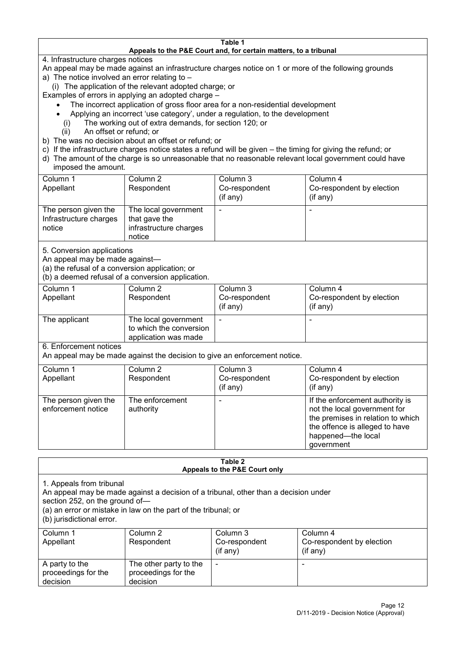#### **Table 1 Appeals to the P&E Court and, for certain matters, to a tribunal**

4. Infrastructure charges notices

- An appeal may be made against an infrastructure charges notice on 1 or more of the following grounds
- a) The notice involved an error relating to
	- (i) The application of the relevant adopted charge; or
- Examples of errors in applying an adopted charge
	- The incorrect application of gross floor area for a non-residential development
	- Applying an incorrect 'use category', under a regulation, to the development
	- (i) The working out of extra demands, for section 120; or
	- (ii) An offset or refund; or
- b) The was no decision about an offset or refund; or
- c) If the infrastructure charges notice states a refund will be given the timing for giving the refund; or
- d) The amount of the charge is so unreasonable that no reasonable relevant local government could have
- imposed the amount.

| Column 1                                                 | Column 2                                                                  | Column 3      | Column 4                  |
|----------------------------------------------------------|---------------------------------------------------------------------------|---------------|---------------------------|
| Appellant                                                | Respondent                                                                | Co-respondent | Co-respondent by election |
|                                                          |                                                                           | (if any)      | (if any)                  |
| The person given the<br>Infrastructure charges<br>notice | The local government<br>that gave the<br>infrastructure charges<br>notice |               | -                         |

5. Conversion applications

An appeal may be made against—

(a) the refusal of a conversion application; or

(b) a deemed refusal of a conversion application.

| Column 1<br>Appellant | Column 2<br>Respondent                                                  | Column 3<br>Co-respondent | Column 4<br>Co-respondent by election |
|-----------------------|-------------------------------------------------------------------------|---------------------------|---------------------------------------|
|                       |                                                                         | $($ if any $)$            | $(if$ any)                            |
| The applicant         | The local government<br>to which the conversion<br>application was made |                           |                                       |

6. Enforcement notices

An appeal may be made against the decision to give an enforcement notice.

| Column 1<br>Appellant                      | Column 2<br>Respondent       | Column 3<br>Co-respondent<br>(if any) | Column 4<br>Co-respondent by election<br>(if any)                                                                                                                          |
|--------------------------------------------|------------------------------|---------------------------------------|----------------------------------------------------------------------------------------------------------------------------------------------------------------------------|
| The person given the<br>enforcement notice | The enforcement<br>authority |                                       | If the enforcement authority is<br>not the local government for<br>the premises in relation to which<br>the offence is alleged to have<br>happened-the local<br>government |

#### **Table 2 Appeals to the P&E Court only**

1. Appeals from tribunal

An appeal may be made against a decision of a tribunal, other than a decision under

section 252, on the ground of—

(a) an error or mistake in law on the part of the tribunal; or

(b) jurisdictional error.

| Column 1<br>Appellant                             | Column 2<br>Respondent                                    | Column 3<br>Co-respondent<br>$($ if any $)$ | Column 4<br>Co-respondent by election<br>$($ if any $)$ |
|---------------------------------------------------|-----------------------------------------------------------|---------------------------------------------|---------------------------------------------------------|
| A party to the<br>proceedings for the<br>decision | The other party to the<br>proceedings for the<br>decision | -                                           |                                                         |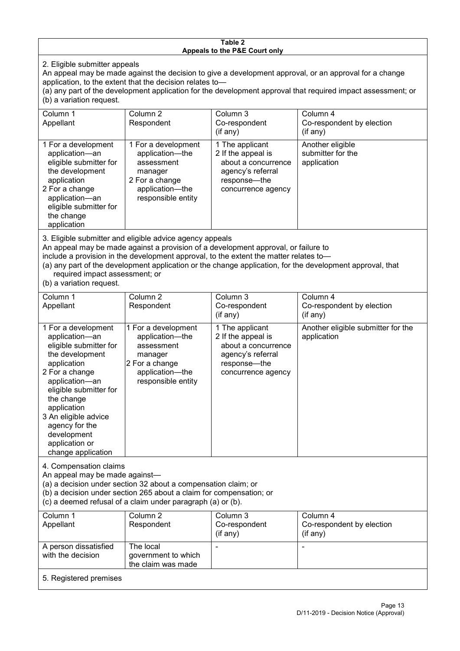#### **Table 2 Appeals to the P&E Court only**

2. Eligible submitter appeals

An appeal may be made against the decision to give a development approval, or an approval for a change application, to the extent that the decision relates to—

(a) any part of the development application for the development approval that required impact assessment; or (b) a variation request.

| Column 1<br>Appellant                                                                                                                                                                                                                                                                                                                                                                  | Column 2<br>Respondent                                                                                                     | Column 3<br>Co-respondent<br>$($ if any $)$                                                                             | Column 4<br>Co-respondent by election<br>(if any)    |  |
|----------------------------------------------------------------------------------------------------------------------------------------------------------------------------------------------------------------------------------------------------------------------------------------------------------------------------------------------------------------------------------------|----------------------------------------------------------------------------------------------------------------------------|-------------------------------------------------------------------------------------------------------------------------|------------------------------------------------------|--|
| 1 For a development<br>application-an<br>eligible submitter for<br>the development<br>application<br>2 For a change<br>application-an<br>eligible submitter for<br>the change<br>application                                                                                                                                                                                           | 1 For a development<br>application-the<br>assessment<br>manager<br>2 For a change<br>application-the<br>responsible entity | 1 The applicant<br>2 If the appeal is<br>about a concurrence<br>agency's referral<br>response-the<br>concurrence agency | Another eligible<br>submitter for the<br>application |  |
| 3. Eligible submitter and eligible advice agency appeals<br>An appeal may be made against a provision of a development approval, or failure to<br>include a provision in the development approval, to the extent the matter relates to-<br>(a) any part of the development application or the change application, for the development approval, that<br>required impact assessment; or |                                                                                                                            |                                                                                                                         |                                                      |  |

(b) a variation request.

| Column 1<br>Appellant                                                                                                                                                                                                                                                                         | Column 2<br>Respondent                                                                                                     | Column 3<br>Co-respondent<br>(if any)                                                                                   | Column 4<br>Co-respondent by election<br>$($ if any $)$ |
|-----------------------------------------------------------------------------------------------------------------------------------------------------------------------------------------------------------------------------------------------------------------------------------------------|----------------------------------------------------------------------------------------------------------------------------|-------------------------------------------------------------------------------------------------------------------------|---------------------------------------------------------|
| 1 For a development<br>application-an<br>eligible submitter for<br>the development<br>application<br>2 For a change<br>application-an<br>eligible submitter for<br>the change<br>application<br>3 An eligible advice<br>agency for the<br>development<br>application or<br>change application | 1 For a development<br>application-the<br>assessment<br>manager<br>2 For a change<br>application-the<br>responsible entity | 1 The applicant<br>2 If the appeal is<br>about a concurrence<br>agency's referral<br>response-the<br>concurrence agency | Another eligible submitter for the<br>application       |
| 4. Compensation claims<br>An appeal may be made against-<br>(a) a decision under section 32 about a compensation claim; or<br>(b) a decision under section 265 about a claim for compensation; or<br>(c) a deemed refusal of a claim under paragraph (a) or (b).                              |                                                                                                                            |                                                                                                                         |                                                         |
| Column 1<br>Appellant                                                                                                                                                                                                                                                                         | Column <sub>2</sub><br>Respondent                                                                                          | Column 3<br>Co-respondent<br>(if any)                                                                                   | Column 4<br>Co-respondent by election<br>(if any)       |
| A person dissatisfied<br>with the decision                                                                                                                                                                                                                                                    | The local<br>government to which<br>the claim was made                                                                     |                                                                                                                         |                                                         |
| 5. Registered premises                                                                                                                                                                                                                                                                        |                                                                                                                            |                                                                                                                         |                                                         |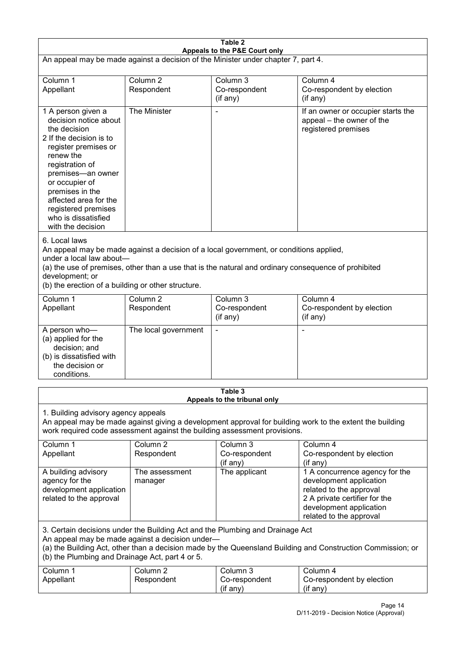| Table 2                                                                                                                                                                                                                                                                                              |                                   |                                                                                                                                                                                                |                                                                                                                                                                             |  |
|------------------------------------------------------------------------------------------------------------------------------------------------------------------------------------------------------------------------------------------------------------------------------------------------------|-----------------------------------|------------------------------------------------------------------------------------------------------------------------------------------------------------------------------------------------|-----------------------------------------------------------------------------------------------------------------------------------------------------------------------------|--|
| Appeals to the P&E Court only<br>An appeal may be made against a decision of the Minister under chapter 7, part 4.                                                                                                                                                                                   |                                   |                                                                                                                                                                                                |                                                                                                                                                                             |  |
| Column 1<br>Appellant                                                                                                                                                                                                                                                                                | Column <sub>2</sub><br>Respondent | Column 3<br>Co-respondent<br>(if any)                                                                                                                                                          | Column 4<br>Co-respondent by election<br>(if any)                                                                                                                           |  |
| 1 A person given a<br>decision notice about<br>the decision<br>2 If the decision is to<br>register premises or<br>renew the<br>registration of<br>premises-an owner<br>or occupier of<br>premises in the<br>affected area for the<br>registered premises<br>who is dissatisfied<br>with the decision | The Minister                      |                                                                                                                                                                                                | If an owner or occupier starts the<br>appeal – the owner of the<br>registered premises                                                                                      |  |
| 6. Local laws<br>under a local law about-<br>development; or<br>(b) the erection of a building or other structure.                                                                                                                                                                                   |                                   | An appeal may be made against a decision of a local government, or conditions applied,<br>(a) the use of premises, other than a use that is the natural and ordinary consequence of prohibited |                                                                                                                                                                             |  |
| Column 1<br>Appellant                                                                                                                                                                                                                                                                                | Column <sub>2</sub><br>Respondent | Column 3<br>Co-respondent<br>(if any)                                                                                                                                                          | Column 4<br>Co-respondent by election<br>(if any)                                                                                                                           |  |
| A person who-<br>(a) applied for the<br>decision; and<br>(b) is dissatisfied with<br>the decision or<br>conditions.                                                                                                                                                                                  | The local government              |                                                                                                                                                                                                |                                                                                                                                                                             |  |
|                                                                                                                                                                                                                                                                                                      |                                   | Table 3<br>Appeals to the tribunal only                                                                                                                                                        |                                                                                                                                                                             |  |
| 1. Building advisory agency appeals<br>An appeal may be made against giving a development approval for building work to the extent the building<br>work required code assessment against the building assessment provisions.                                                                         |                                   |                                                                                                                                                                                                |                                                                                                                                                                             |  |
| Column 1<br>Appellant                                                                                                                                                                                                                                                                                | Column <sub>2</sub><br>Respondent | Column 3<br>Co-respondent<br>(if any)                                                                                                                                                          | Column 4<br>Co-respondent by election<br>(if any)                                                                                                                           |  |
| A building advisory<br>agency for the<br>development application<br>related to the approval                                                                                                                                                                                                          | The assessment<br>manager         | The applicant                                                                                                                                                                                  | 1 A concurrence agency for the<br>development application<br>related to the approval<br>2 A private certifier for the<br>development application<br>related to the approval |  |
| 3. Certain decisions under the Building Act and the Plumbing and Drainage Act<br>An appeal may be made against a decision under-<br>(a) the Building Act, other than a decision made by the Queensland Building and Construction Commission; or<br>(b) the Plumbing and Drainage Act, part 4 or 5.   |                                   |                                                                                                                                                                                                |                                                                                                                                                                             |  |
| Column 1<br>Appellant                                                                                                                                                                                                                                                                                | Column <sub>2</sub><br>Respondent | Column 3<br>Co-respondent<br>(if any)                                                                                                                                                          | Column 4<br>Co-respondent by election<br>(if any)                                                                                                                           |  |